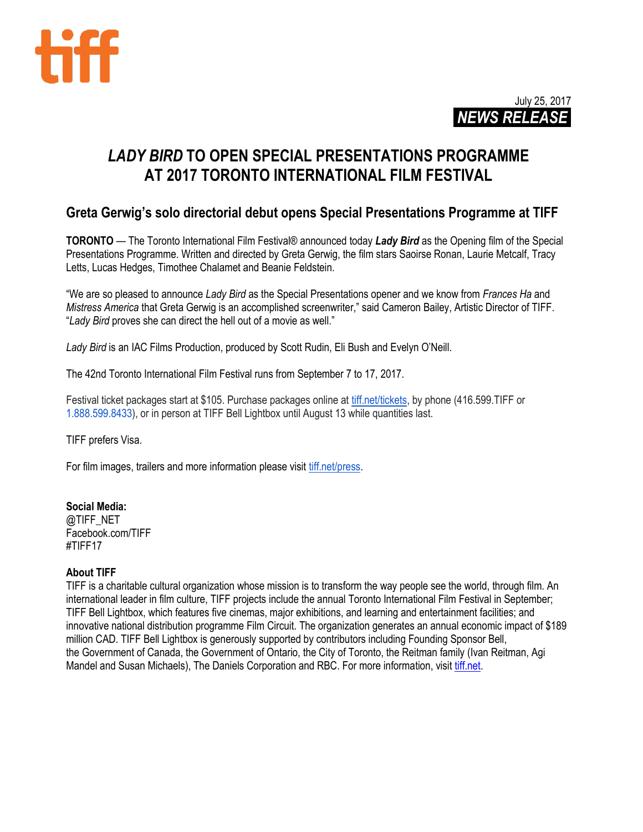



## *LADY BIRD* **TO OPEN SPECIAL PRESENTATIONS PROGRAMME AT 2017 TORONTO INTERNATIONAL FILM FESTIVAL**

## **Greta Gerwig's solo directorial debut opens Special Presentations Programme at TIFF**

**TORONTO** — The Toronto International Film Festival® announced today *Lady Bird* as the Opening film of the Special Presentations Programme. Written and directed by Greta Gerwig, the film stars Saoirse Ronan, Laurie Metcalf, Tracy Letts, Lucas Hedges, Timothee Chalamet and Beanie Feldstein.

"We are so pleased to announce *Lady Bird* as the Special Presentations opener and we know from *Frances Ha* and *Mistress America* that Greta Gerwig is an accomplished screenwriter," said Cameron Bailey, Artistic Director of TIFF. "*Lady Bird* proves she can direct the hell out of a movie as well."

*Lady Bird* is an IAC Films Production, produced by Scott Rudin, Eli Bush and Evelyn O'Neill.

The 42nd Toronto International Film Festival runs from September 7 to 17, 2017.

Festival ticket packages start at \$105. Purchase packages online at [tiff.net/tickets,](http://tiff.net/tickets) by phone (416.599.TIFF or 1.888.599.8433), or in person at TIFF Bell Lightbox until August 13 while quantities last.

TIFF prefers Visa.

For film images, trailers and more information please visit [tiff.net/press.](http://www.tiff.net/press/) 

**Social Media:** @TIFF\_NET Facebook.com/TIFF #TIFF17

## **About TIFF**

TIFF is a charitable cultural organization whose mission is to transform the way people see the world, through film. An international leader in film culture, TIFF projects include the annual Toronto International Film Festival in September; TIFF Bell Lightbox, which features five cinemas, major exhibitions, and learning and entertainment facilities; and innovative national distribution programme Film Circuit. The organization generates an annual economic impact of \$189 million CAD. TIFF Bell Lightbox is generously supported by contributors including Founding Sponsor Bell, the Government of Canada, the Government of Ontario, the City of Toronto, the Reitman family (Ivan Reitman, Agi Mandel and Susan Michaels), The Daniels Corporation and RBC. For more information, visit [tiff.net.](http://tiff.net/)